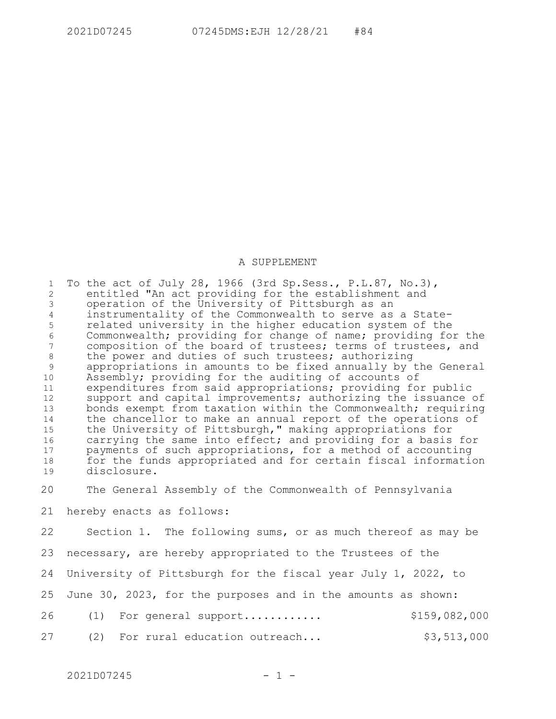## A SUPPLEMENT

To the act of July 28, 1966 (3rd Sp.Sess., P.L.87, No.3), entitled "An act providing for the establishment and operation of the University of Pittsburgh as an instrumentality of the Commonwealth to serve as a Staterelated university in the higher education system of the Commonwealth; providing for change of name; providing for the composition of the board of trustees; terms of trustees, and the power and duties of such trustees; authorizing appropriations in amounts to be fixed annually by the General Assembly; providing for the auditing of accounts of expenditures from said appropriations; providing for public support and capital improvements; authorizing the issuance of bonds exempt from taxation within the Commonwealth; requiring the chancellor to make an annual report of the operations of the University of Pittsburgh," making appropriations for carrying the same into effect; and providing for a basis for payments of such appropriations, for a method of accounting for the funds appropriated and for certain fiscal information disclosure. 1 2 3 4 5 6 7 8 9 10 11 12 13 14 15 16 17 18 19

The General Assembly of the Commonwealth of Pennsylvania 20

hereby enacts as follows: 21

Section 1. The following sums, or as much thereof as may be 22

necessary, are hereby appropriated to the Trustees of the 23

University of Pittsburgh for the fiscal year July 1, 2022, to 24

June 30, 2023, for the purposes and in the amounts as shown: 25

(1) For general support............ \$159,082,000 26

(2) For rural education outreach...  $$3,513,000$ 27

 $2021D07245$  - 1 -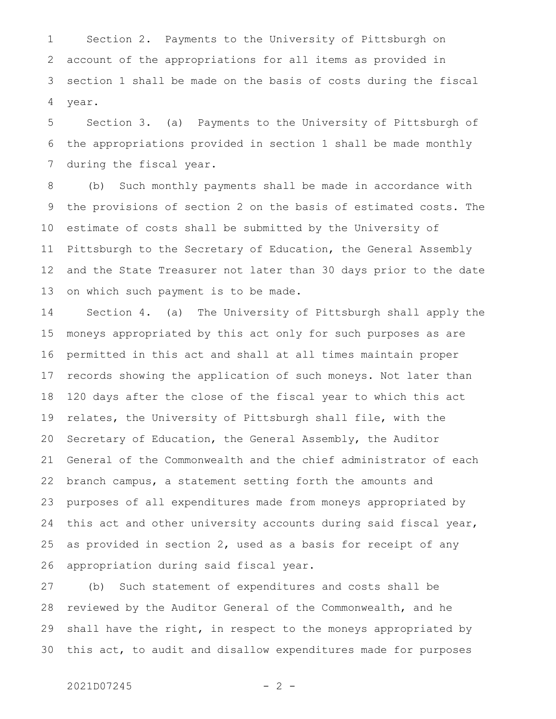Section 2. Payments to the University of Pittsburgh on account of the appropriations for all items as provided in section 1 shall be made on the basis of costs during the fiscal year. 1 2 3 4

Section 3. (a) Payments to the University of Pittsburgh of the appropriations provided in section 1 shall be made monthly during the fiscal year. 5 6 7

(b) Such monthly payments shall be made in accordance with the provisions of section 2 on the basis of estimated costs. The estimate of costs shall be submitted by the University of Pittsburgh to the Secretary of Education, the General Assembly and the State Treasurer not later than 30 days prior to the date on which such payment is to be made. 8 9 10 11 12 13

Section 4. (a) The University of Pittsburgh shall apply the moneys appropriated by this act only for such purposes as are permitted in this act and shall at all times maintain proper records showing the application of such moneys. Not later than 120 days after the close of the fiscal year to which this act relates, the University of Pittsburgh shall file, with the Secretary of Education, the General Assembly, the Auditor General of the Commonwealth and the chief administrator of each branch campus, a statement setting forth the amounts and purposes of all expenditures made from moneys appropriated by this act and other university accounts during said fiscal year, as provided in section 2, used as a basis for receipt of any appropriation during said fiscal year. 14 15 16 17 18 19 20 21 22 23 24 25 26

(b) Such statement of expenditures and costs shall be reviewed by the Auditor General of the Commonwealth, and he shall have the right, in respect to the moneys appropriated by this act, to audit and disallow expenditures made for purposes 27 28 29 30

## 2021D07245 - 2 -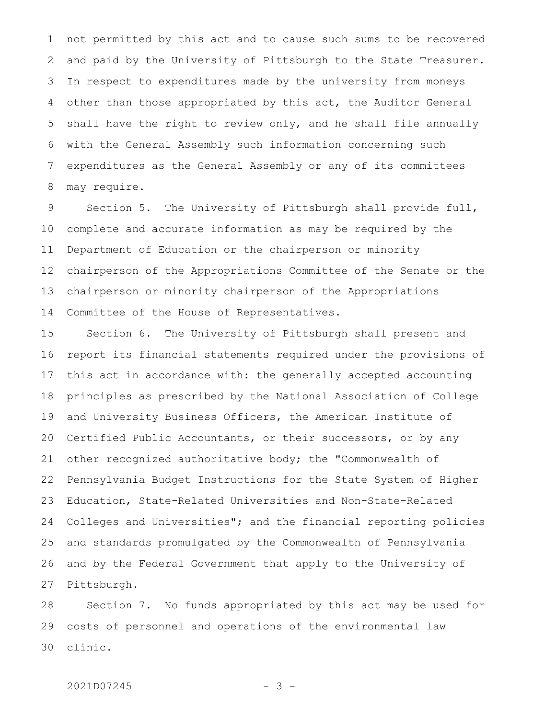not permitted by this act and to cause such sums to be recovered and paid by the University of Pittsburgh to the State Treasurer. In respect to expenditures made by the university from moneys other than those appropriated by this act, the Auditor General shall have the right to review only, and he shall file annually with the General Assembly such information concerning such expenditures as the General Assembly or any of its committees may require. 1 2 3 4 5 6 7 8

Section 5. The University of Pittsburgh shall provide full, complete and accurate information as may be required by the Department of Education or the chairperson or minority chairperson of the Appropriations Committee of the Senate or the chairperson or minority chairperson of the Appropriations Committee of the House of Representatives. 9 10 11 12 13 14

Section 6. The University of Pittsburgh shall present and report its financial statements required under the provisions of this act in accordance with: the generally accepted accounting principles as prescribed by the National Association of College and University Business Officers, the American Institute of Certified Public Accountants, or their successors, or by any other recognized authoritative body; the "Commonwealth of Pennsylvania Budget Instructions for the State System of Higher Education, State-Related Universities and Non-State-Related Colleges and Universities"; and the financial reporting policies and standards promulgated by the Commonwealth of Pennsylvania and by the Federal Government that apply to the University of Pittsburgh. 15 16 17 18 19 20 21 22 23 24 25 26 27

Section 7. No funds appropriated by this act may be used for costs of personnel and operations of the environmental law clinic. 28 29 30